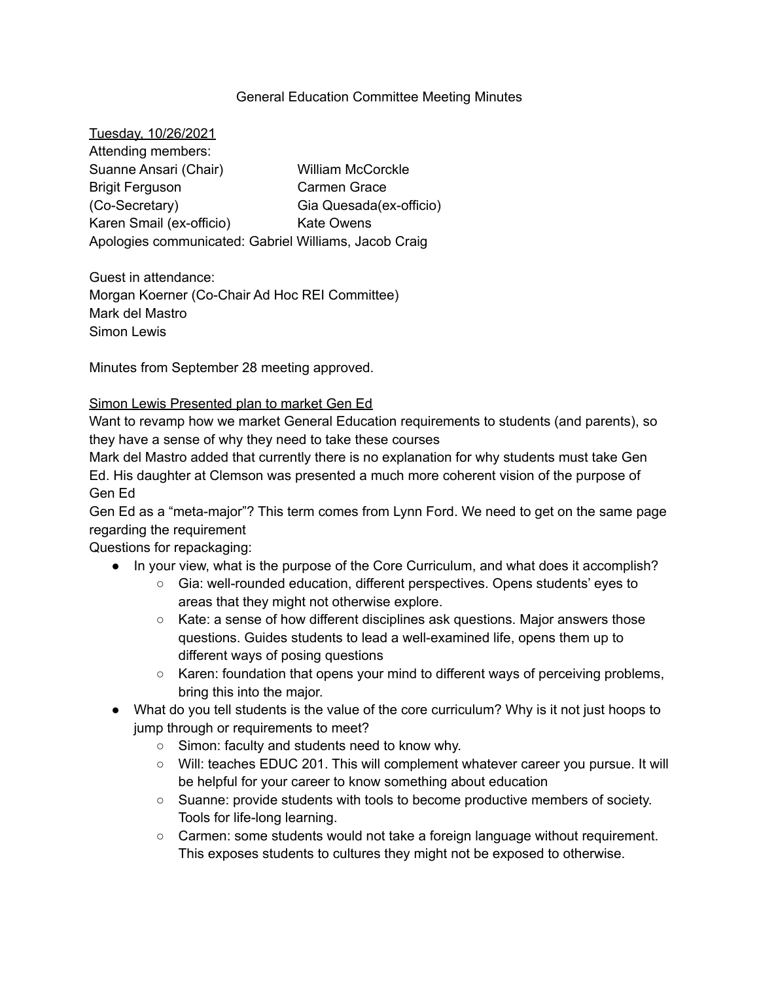### General Education Committee Meeting Minutes

| Tuesday, 10/26/2021                                   |                          |
|-------------------------------------------------------|--------------------------|
| Attending members:                                    |                          |
| Suanne Ansari (Chair)                                 | <b>William McCorckle</b> |
| <b>Brigit Ferguson</b>                                | Carmen Grace             |
| (Co-Secretary)                                        | Gia Quesada(ex-officio)  |
| Karen Smail (ex-officio)                              | <b>Kate Owens</b>        |
| Apologies communicated: Gabriel Williams, Jacob Craig |                          |

Guest in attendance: Morgan Koerner (Co-Chair Ad Hoc REI Committee) Mark del Mastro Simon Lewis

Minutes from September 28 meeting approved.

### Simon Lewis Presented plan to market Gen Ed

Want to revamp how we market General Education requirements to students (and parents), so they have a sense of why they need to take these courses

Mark del Mastro added that currently there is no explanation for why students must take Gen Ed. His daughter at Clemson was presented a much more coherent vision of the purpose of Gen Ed

Gen Ed as a "meta-major"? This term comes from Lynn Ford. We need to get on the same page regarding the requirement

Questions for repackaging:

- In your view, what is the purpose of the Core Curriculum, and what does it accomplish?
	- Gia: well-rounded education, different perspectives. Opens students' eyes to areas that they might not otherwise explore.
	- Kate: a sense of how different disciplines ask questions. Major answers those questions. Guides students to lead a well-examined life, opens them up to different ways of posing questions
	- Karen: foundation that opens your mind to different ways of perceiving problems, bring this into the major.
- What do you tell students is the value of the core curriculum? Why is it not just hoops to jump through or requirements to meet?
	- Simon: faculty and students need to know why.
	- Will: teaches EDUC 201. This will complement whatever career you pursue. It will be helpful for your career to know something about education
	- Suanne: provide students with tools to become productive members of society. Tools for life-long learning.
	- Carmen: some students would not take a foreign language without requirement. This exposes students to cultures they might not be exposed to otherwise.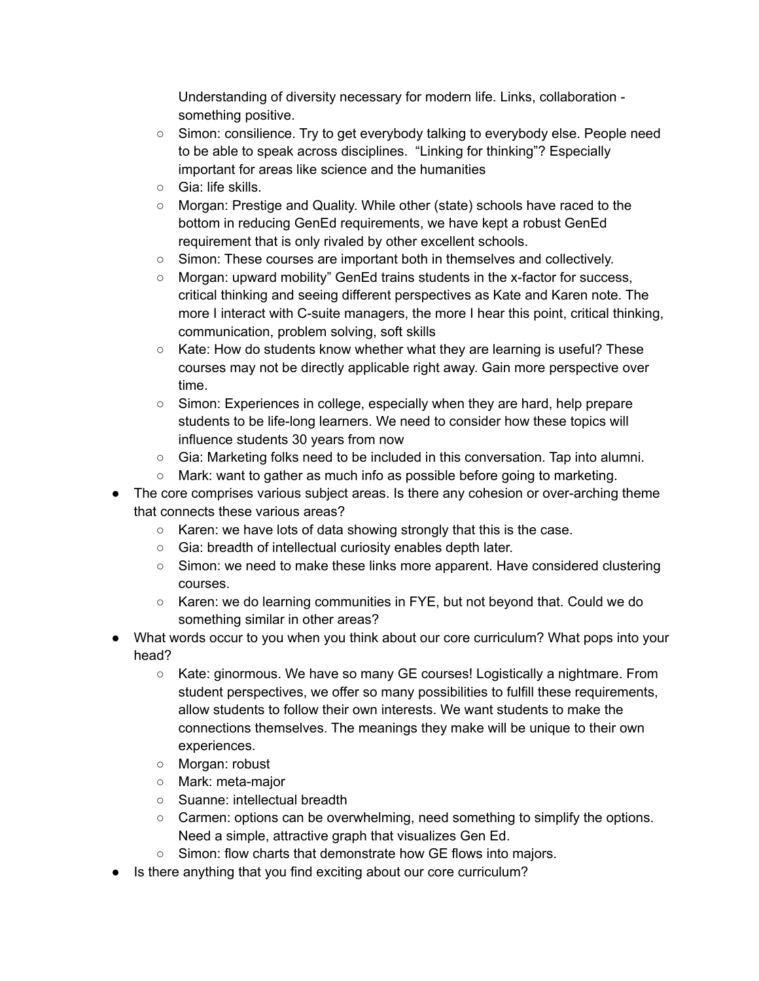Understanding of diversity necessary for modern life. Links, collaboration something positive.

- Simon: consilience. Try to get everybody talking to everybody else. People need to be able to speak across disciplines. "Linking for thinking"? Especially important for areas like science and the humanities
- Gia: life skills.
- Morgan: Prestige and Quality. While other (state) schools have raced to the bottom in reducing GenEd requirements, we have kept a robust GenEd requirement that is only rivaled by other excellent schools.
- Simon: These courses are important both in themselves and collectively.
- Morgan: upward mobility" GenEd trains students in the x-factor for success, critical thinking and seeing different perspectives as Kate and Karen note. The more I interact with C-suite managers, the more I hear this point, critical thinking, communication, problem solving, soft skills
- $\circ$  Kate: How do students know whether what they are learning is useful? These courses may not be directly applicable right away. Gain more perspective over time.
- Simon: Experiences in college, especially when they are hard, help prepare students to be life-long learners. We need to consider how these topics will influence students 30 years from now
- Gia: Marketing folks need to be included in this conversation. Tap into alumni.
- Mark: want to gather as much info as possible before going to marketing.
- The core comprises various subject areas. Is there any cohesion or over-arching theme that connects these various areas?
	- Karen: we have lots of data showing strongly that this is the case.
	- Gia: breadth of intellectual curiosity enables depth later.
	- Simon: we need to make these links more apparent. Have considered clustering courses.
	- Karen: we do learning communities in FYE, but not beyond that. Could we do something similar in other areas?
- What words occur to you when you think about our core curriculum? What pops into your head?
	- Kate: ginormous. We have so many GE courses! Logistically a nightmare. From student perspectives, we offer so many possibilities to fulfill these requirements, allow students to follow their own interests. We want students to make the connections themselves. The meanings they make will be unique to their own experiences.
	- Morgan: robust
	- Mark: meta-major
	- Suanne: intellectual breadth
	- Carmen: options can be overwhelming, need something to simplify the options. Need a simple, attractive graph that visualizes Gen Ed.
	- Simon: flow charts that demonstrate how GE flows into majors.
- Is there anything that you find exciting about our core curriculum?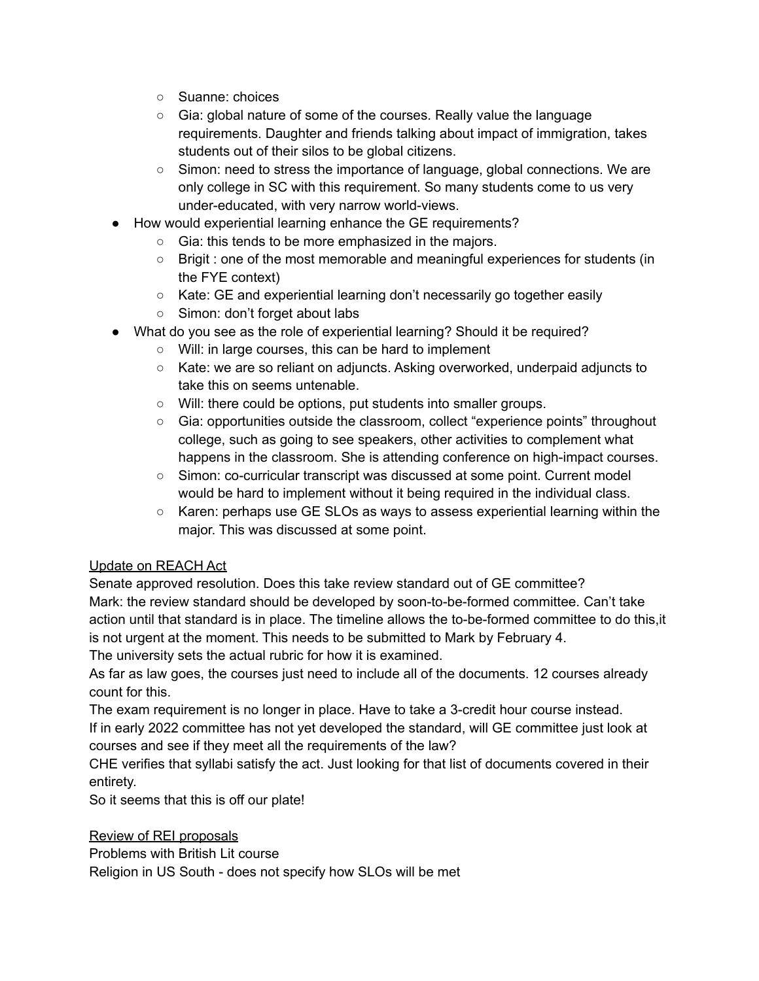- Suanne: choices
- Gia: global nature of some of the courses. Really value the language requirements. Daughter and friends talking about impact of immigration, takes students out of their silos to be global citizens.
- Simon: need to stress the importance of language, global connections. We are only college in SC with this requirement. So many students come to us very under-educated, with very narrow world-views.
- How would experiential learning enhance the GE requirements?
	- Gia: this tends to be more emphasized in the majors.
	- Brigit : one of the most memorable and meaningful experiences for students (in the FYE context)
	- Kate: GE and experiential learning don't necessarily go together easily
	- Simon: don't forget about labs
- What do you see as the role of experiential learning? Should it be required?
	- Will: in large courses, this can be hard to implement
	- Kate: we are so reliant on adjuncts. Asking overworked, underpaid adjuncts to take this on seems untenable.
	- Will: there could be options, put students into smaller groups.
	- Gia: opportunities outside the classroom, collect "experience points" throughout college, such as going to see speakers, other activities to complement what happens in the classroom. She is attending conference on high-impact courses.
	- Simon: co-curricular transcript was discussed at some point. Current model would be hard to implement without it being required in the individual class.
	- $\circ$  Karen: perhaps use GE SLOs as ways to assess experiential learning within the major. This was discussed at some point.

# Update on REACH Act

Senate approved resolution. Does this take review standard out of GE committee? Mark: the review standard should be developed by soon-to-be-formed committee. Can't take action until that standard is in place. The timeline allows the to-be-formed committee to do this,it is not urgent at the moment. This needs to be submitted to Mark by February 4. The university sets the actual rubric for how it is examined.

As far as law goes, the courses just need to include all of the documents. 12 courses already count for this.

The exam requirement is no longer in place. Have to take a 3-credit hour course instead. If in early 2022 committee has not yet developed the standard, will GE committee just look at

courses and see if they meet all the requirements of the law?

CHE verifies that syllabi satisfy the act. Just looking for that list of documents covered in their entirety.

So it seems that this is off our plate!

Review of REI proposals

Problems with British Lit course

Religion in US South - does not specify how SLOs will be met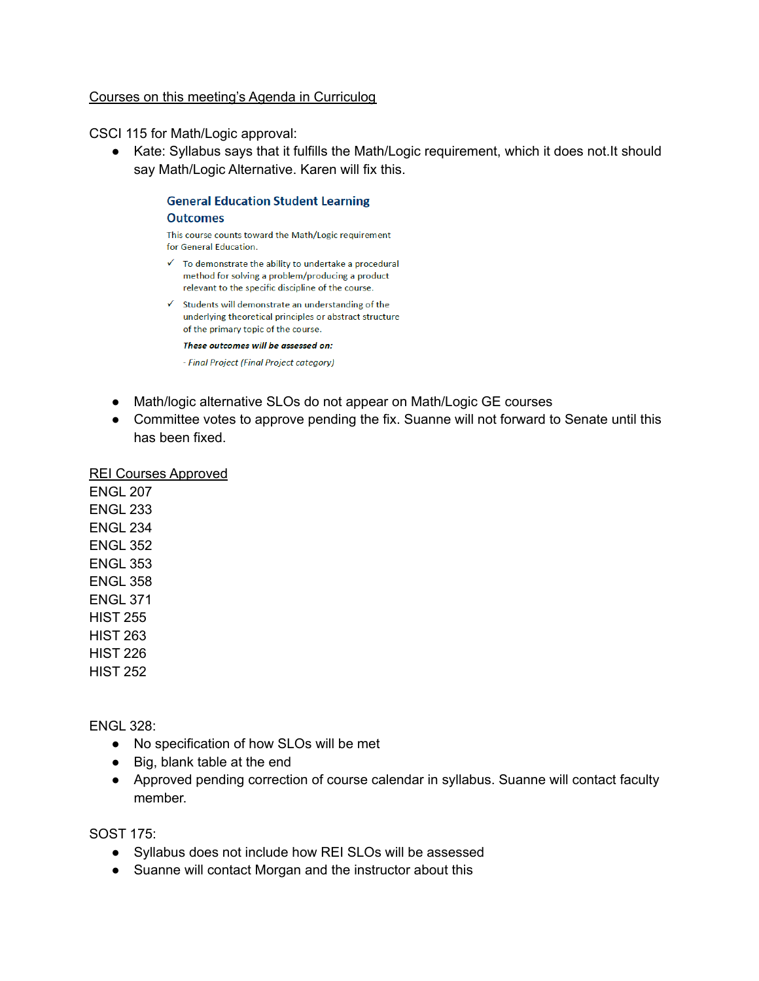### Courses on this meeting's Agenda in Curriculog

CSCI 115 for Math/Logic approval:

● Kate: Syllabus says that it fulfills the Math/Logic requirement, which it does not.It should say Math/Logic Alternative. Karen will fix this.

#### **General Education Student Learning Outcomes**

This course counts toward the Math/Logic requirement for General Education.

- $\checkmark$  To demonstrate the ability to undertake a procedural method for solving a problem/producing a product relevant to the specific discipline of the course.
- $\checkmark$  Students will demonstrate an understanding of the underlying theoretical principles or abstract structure of the primary topic of the course.

These outcomes will be assessed on:

- Final Project (Final Project category)

- Math/logic alternative SLOs do not appear on Math/Logic GE courses
- Committee votes to approve pending the fix. Suanne will not forward to Senate until this has been fixed.

### REI Courses Approved

ENGL 207 ENGL 233 ENGL 234 ENGL 352 ENGL 353 ENGL 358 ENGL 371 HIST 255 HIST 263 HIST 226 HIST 252

ENGL 328:

- No specification of how SLOs will be met
- Big, blank table at the end
- Approved pending correction of course calendar in syllabus. Suanne will contact faculty member.

SOST 175:

- Syllabus does not include how REI SLOs will be assessed
- Suanne will contact Morgan and the instructor about this